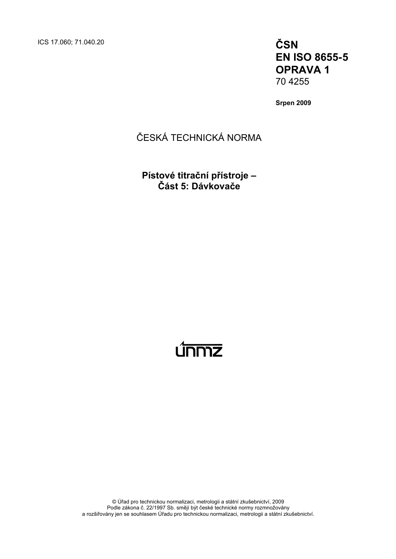ICS 17.060; 71.040.20 **ČSN** 

**EN ISO 8655-5 OPRAVA 1**  70 4255

**Srpen 2009** 

### ČESKÁ TECHNICKÁ NORMA

**Pístové titrační přístroje – Část 5: Dávkovače** 

# <u>únmz</u>

© Úřad pro technickou normalizaci, metrologii a státní zkušebnictví, 2009 Podle zákona č. 22/1997 Sb. smějí být české technické normy rozmnožovány a rozšiřovány jen se souhlasem Úřadu pro technickou normalizaci, metrologii a státní zkušebnictví.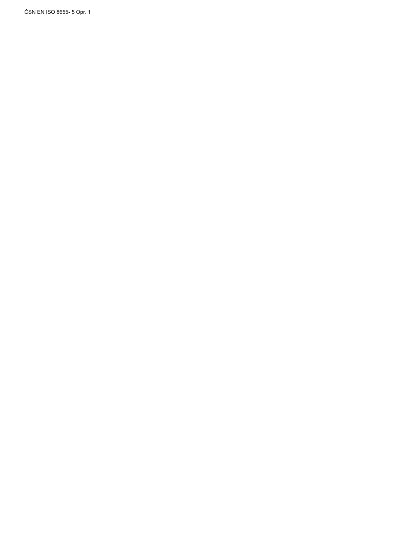ČSN EN ISO 8655- 5 Opr. 1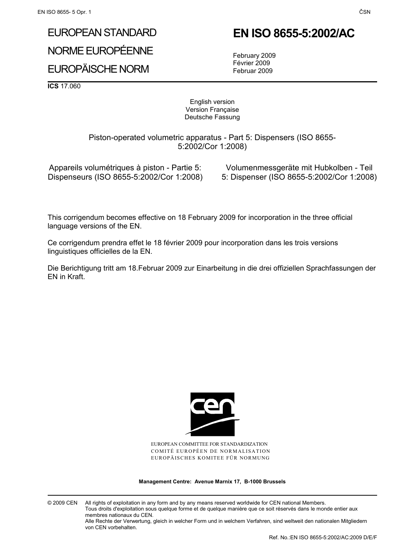## EUROPEAN STANDARD

NORME EUROPÉENNE

### EUROPÄISCHE NORM

 **EN ISO 8655-5:2002/AC** 

 February 2009 Février 2009 Februar 2009

**ICS** 17.060

#### English version Version Française Deutsche Fassung

 Piston-operated volumetric apparatus - Part 5: Dispensers (ISO 8655- 5:2002/Cor 1:2008)

Appareils volumétriques à piston - Partie 5: Dispenseurs (ISO 8655-5:2002/Cor 1:2008)

 Volumenmessgeräte mit Hubkolben - Teil 5: Dispenser (ISO 8655-5:2002/Cor 1:2008)

This corrigendum becomes effective on 18 February 2009 for incorporation in the three official language versions of the EN.

Ce corrigendum prendra effet le 18 février 2009 pour incorporation dans les trois versions linguistiques officielles de la EN.

Die Berichtigung tritt am 18.Februar 2009 zur Einarbeitung in die drei offiziellen Sprachfassungen der EN in Kraft.



EUROPEAN COMMITTEE FOR STANDARDIZATION COMITÉ EUROPÉEN DE NORMALISATION EUROPÄISCHES KOMITEE FÜR NORMUNG

**Management Centre: Avenue Marnix 17, B-1000 Brussels** 

© 2009 CEN All rights of exploitation in any form and by any means reserved worldwide for CEN national Members. Tous droits d'exploitation sous quelque forme et de quelque manière que ce soit réservés dans le monde entier aux membres nationaux du CEN. Alle Rechte der Verwertung, gleich in welcher Form und in welchem Verfahren, sind weltweit den nationalen Mitgliedern

von CEN vorbehalten.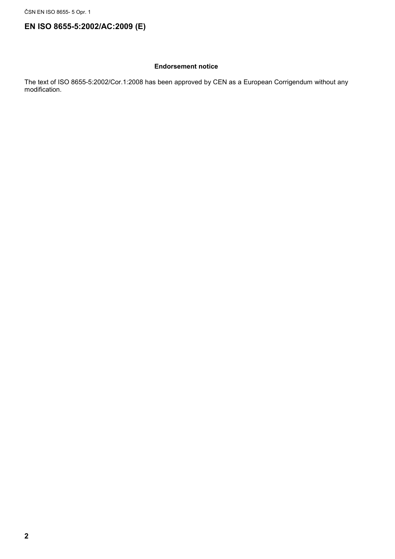ČSN EN ISO 8655- 5 Opr. 1

### **EN ISO 8655-5:2002/AC:2009 (E)**

### **Endorsement notice**

The text of ISO 8655-5:2002/Cor.1:2008 has been approved by CEN as a European Corrigendum without any modification.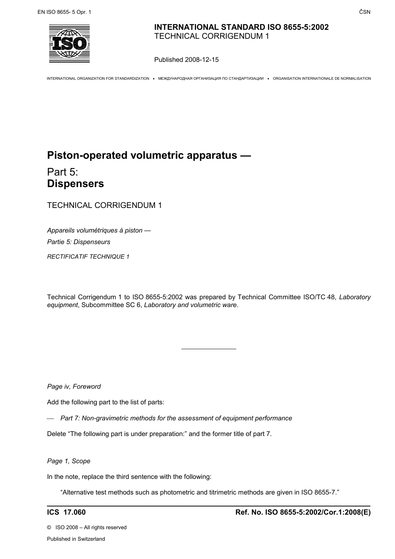

### **INTERNATIONAL STANDARD ISO 8655-5:2002**  TECHNICAL CORRIGENDUM 1

Published 2008-12-15

INTERNATIONAL ORGANIZATION FOR STANDARDIZATION • МЕЖДУНАРОДНАЯ ОРГАНИЗАЦИЯ ПО СТАНДАРТИЗАЦИИ • ORGANISATION INTERNATIONALE DE NORMALISATION

### **Piston-operated volumetric apparatus —**

Part 5: **Dispensers** 

TECHNICAL CORRIGENDUM 1

*Appareils volumétriques à piston — Partie 5: Dispenseurs RECTIFICATIF TECHNIQUE 1*

Technical Corrigendum 1 to ISO 8655-5:2002 was prepared by Technical Committee ISO/TC 48, *Laboratory equipment*, Subcommittee SC 6, *Laboratory and volumetric ware*.

*Page iv, Foreword* 

Add the following part to the list of parts:

⎯ *Part 7: Non-gravimetric methods for the assessment of equipment performance* 

L

Delete "The following part is under preparation:" and the former title of part 7.

*Page 1, Scope* 

In the note, replace the third sentence with the following:

"Alternative test methods such as photometric and titrimetric methods are given in ISO 8655-7."

Published in Switzerland

©ISO 2008 – All rights reserved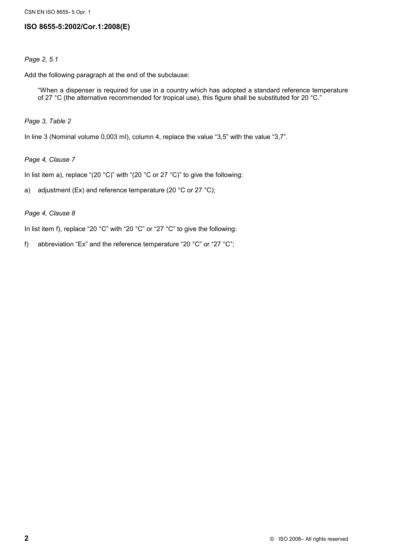### **ISO 8655-5:2002/Cor.1:2008(E)**

### *Page 2, 5.1*

Add the following paragraph at the end of the subclause:

"When a dispenser is required for use in a country which has adopted a standard reference temperature of 27 °C (the alternative recommended for tropical use), this figure shall be substituted for 20 °C."

### *Page 3, Table 2*

In line 3 (Nominal volume 0,003 ml), column 4, replace the value "3,5" with the value "3,7".

### *Page 4, Clause 7*

In list item a), replace "(20 °C)" with "(20 °C or 27 °C)" to give the following:

a) adjustment (Ex) and reference temperature (20 °C or 27 °C);

#### *Page 4, Clause 8*

In list item f), replace "20 °C" with "20 °C" or "27 °C" to give the following:

f) abbreviation "Ex" and the reference temperature "20 °C" or "27 °C";